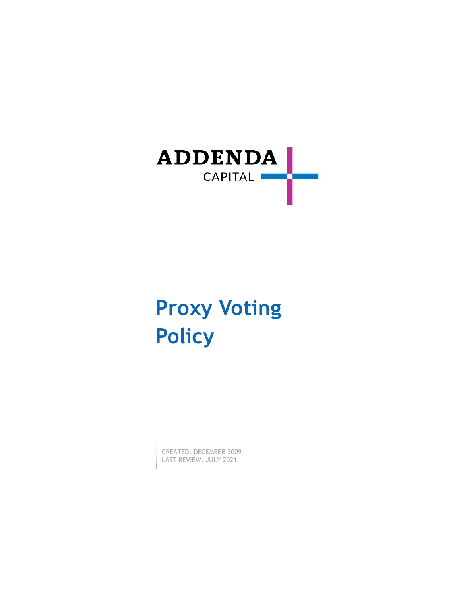

# **Proxy Voting Policy**

CREATED: DECEMBER 2009 LAST REVIEW: JULY 2021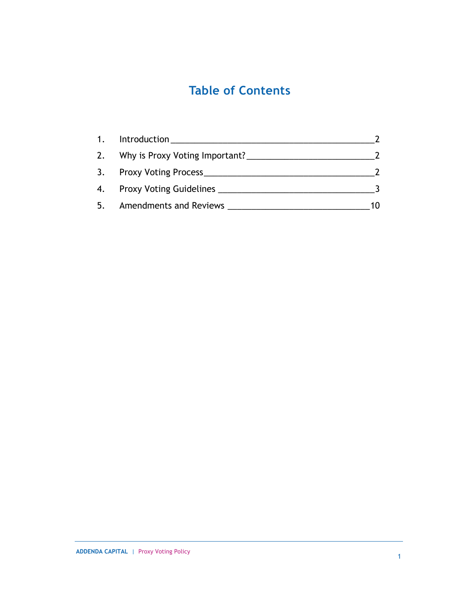## **Table of Contents**

| 1. | Introduction                      |    |
|----|-----------------------------------|----|
|    | 2. Why is Proxy Voting Important? |    |
|    | 3. Proxy Voting Process_          |    |
|    | 4. Proxy Voting Guidelines        |    |
| 5. | <b>Amendments and Reviews</b>     | 10 |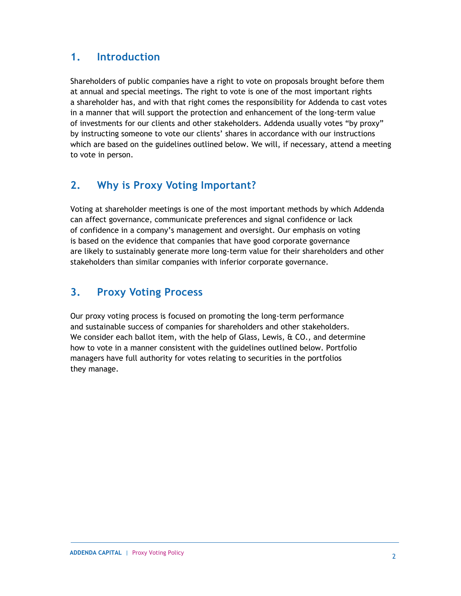## <span id="page-2-0"></span>**1. Introduction**

Shareholders of public companies have a right to vote on proposals brought before them at annual and special meetings. The right to vote is one of the most important rights a shareholder has, and with that right comes the responsibility for Addenda to cast votes in a manner that will support the protection and enhancement of the long-term value of investments for our clients and other stakeholders. Addenda usually votes "by proxy" by instructing someone to vote our clients' shares in accordance with our instructions which are based on the guidelines outlined below. We will, if necessary, attend a meeting to vote in person.

## <span id="page-2-1"></span>**2. Why is Proxy Voting Important?**

Voting at shareholder meetings is one of the most important methods by which Addenda can affect governance, communicate preferences and signal confidence or lack of confidence in a company's management and oversight. Our emphasis on voting is based on the evidence that companies that have good corporate governance are likely to sustainably generate more long-term value for their shareholders and other stakeholders than similar companies with inferior corporate governance.

## <span id="page-2-2"></span>**3. Proxy Voting Process**

Our proxy voting process is focused on promoting the long-term performance and sustainable success of companies for shareholders and other stakeholders. We consider each ballot item, with the help of Glass, Lewis, & CO., and determine how to vote in a manner consistent with the guidelines outlined below. Portfolio managers have full authority for votes relating to securities in the portfolios they manage.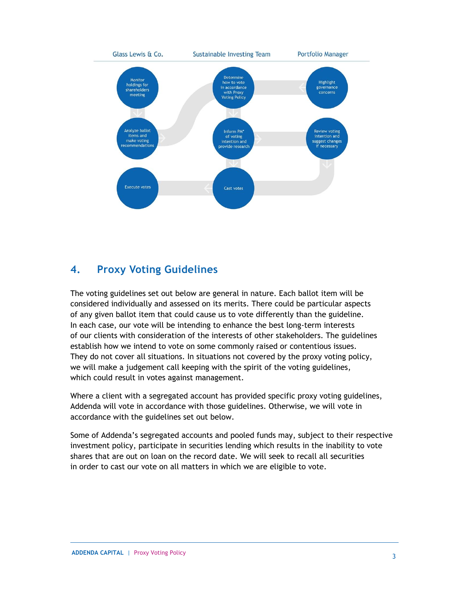

## <span id="page-3-0"></span>**4. Proxy Voting Guidelines**

The voting guidelines set out below are general in nature. Each ballot item will be considered individually and assessed on its merits. There could be particular aspects of any given ballot item that could cause us to vote differently than the guideline. In each case, our vote will be intending to enhance the best long-term interests of our clients with consideration of the interests of other stakeholders. The guidelines establish how we intend to vote on some commonly raised or contentious issues. They do not cover all situations. In situations not covered by the proxy voting policy, we will make a judgement call keeping with the spirit of the voting guidelines, which could result in votes against management.

Where a client with a segregated account has provided specific proxy voting guidelines, Addenda will vote in accordance with those guidelines. Otherwise, we will vote in accordance with the guidelines set out below.

Some of Addenda's segregated accounts and pooled funds may, subject to their respective investment policy, participate in securities lending which results in the inability to vote shares that are out on loan on the record date. We will seek to recall all securities in order to cast our vote on all matters in which we are eligible to vote.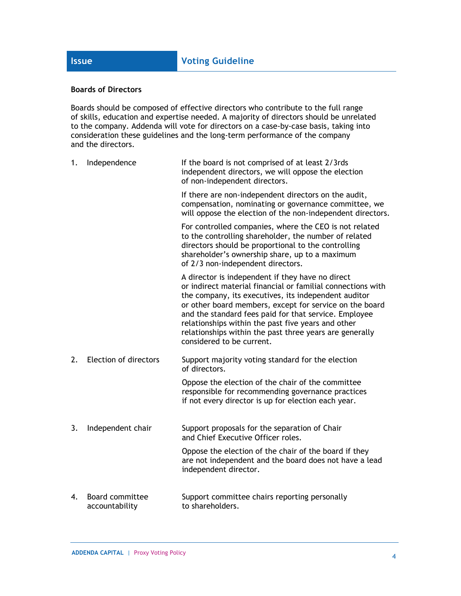#### **Boards of Directors**

Boards should be composed of effective directors who contribute to the full range of skills, education and expertise needed. A majority of directors should be unrelated to the company. Addenda will vote for directors on a case-by-case basis, taking into consideration these guidelines and the long-term performance of the company and the directors.

| 1. | Independence                             | If the board is not comprised of at least 2/3rds<br>independent directors, we will oppose the election<br>of non-independent directors.                                                                                                                                                                                                                                                                                                   |
|----|------------------------------------------|-------------------------------------------------------------------------------------------------------------------------------------------------------------------------------------------------------------------------------------------------------------------------------------------------------------------------------------------------------------------------------------------------------------------------------------------|
|    |                                          | If there are non-independent directors on the audit,<br>compensation, nominating or governance committee, we<br>will oppose the election of the non-independent directors.                                                                                                                                                                                                                                                                |
|    |                                          | For controlled companies, where the CEO is not related<br>to the controlling shareholder, the number of related<br>directors should be proportional to the controlling<br>shareholder's ownership share, up to a maximum<br>of 2/3 non-independent directors.                                                                                                                                                                             |
|    |                                          | A director is independent if they have no direct<br>or indirect material financial or familial connections with<br>the company, its executives, its independent auditor<br>or other board members, except for service on the board<br>and the standard fees paid for that service. Employee<br>relationships within the past five years and other<br>relationships within the past three years are generally<br>considered to be current. |
| 2. | Election of directors                    | Support majority voting standard for the election<br>of directors.                                                                                                                                                                                                                                                                                                                                                                        |
|    |                                          | Oppose the election of the chair of the committee<br>responsible for recommending governance practices<br>if not every director is up for election each year.                                                                                                                                                                                                                                                                             |
| 3. | Independent chair                        | Support proposals for the separation of Chair<br>and Chief Executive Officer roles.                                                                                                                                                                                                                                                                                                                                                       |
|    |                                          | Oppose the election of the chair of the board if they<br>are not independent and the board does not have a lead<br>independent director.                                                                                                                                                                                                                                                                                                  |
| 4. | <b>Board committee</b><br>accountability | Support committee chairs reporting personally<br>to shareholders.                                                                                                                                                                                                                                                                                                                                                                         |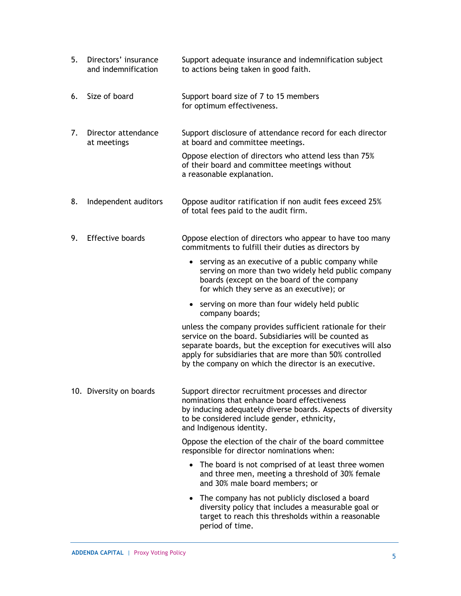| 5. | Directors' insurance<br>and indemnification | Support adequate insurance and indemnification subject<br>to actions being taken in good faith.                                                                                                                                                                                                         |
|----|---------------------------------------------|---------------------------------------------------------------------------------------------------------------------------------------------------------------------------------------------------------------------------------------------------------------------------------------------------------|
| 6. | Size of board                               | Support board size of 7 to 15 members<br>for optimum effectiveness.                                                                                                                                                                                                                                     |
| 7. | Director attendance<br>at meetings          | Support disclosure of attendance record for each director<br>at board and committee meetings.                                                                                                                                                                                                           |
|    |                                             | Oppose election of directors who attend less than 75%<br>of their board and committee meetings without<br>a reasonable explanation.                                                                                                                                                                     |
| 8. | Independent auditors                        | Oppose auditor ratification if non audit fees exceed 25%<br>of total fees paid to the audit firm.                                                                                                                                                                                                       |
| 9. | <b>Effective boards</b>                     | Oppose election of directors who appear to have too many<br>commitments to fulfill their duties as directors by                                                                                                                                                                                         |
|    |                                             | • serving as an executive of a public company while<br>serving on more than two widely held public company<br>boards (except on the board of the company<br>for which they serve as an executive); or                                                                                                   |
|    |                                             | • serving on more than four widely held public<br>company boards;                                                                                                                                                                                                                                       |
|    |                                             | unless the company provides sufficient rationale for their<br>service on the board. Subsidiaries will be counted as<br>separate boards, but the exception for executives will also<br>apply for subsidiaries that are more than 50% controlled<br>by the company on which the director is an executive. |
|    | 10. Diversity on boards                     | Support director recruitment processes and director<br>nominations that enhance board effectiveness<br>by inducing adequately diverse boards. Aspects of diversity<br>to be considered include gender, ethnicity,<br>and Indigenous identity.                                                           |
|    |                                             | Oppose the election of the chair of the board committee<br>responsible for director nominations when:                                                                                                                                                                                                   |
|    |                                             | • The board is not comprised of at least three women<br>and three men, meeting a threshold of 30% female<br>and 30% male board members; or                                                                                                                                                              |
|    |                                             | The company has not publicly disclosed a board<br>diversity policy that includes a measurable goal or<br>target to reach this thresholds within a reasonable<br>period of time.                                                                                                                         |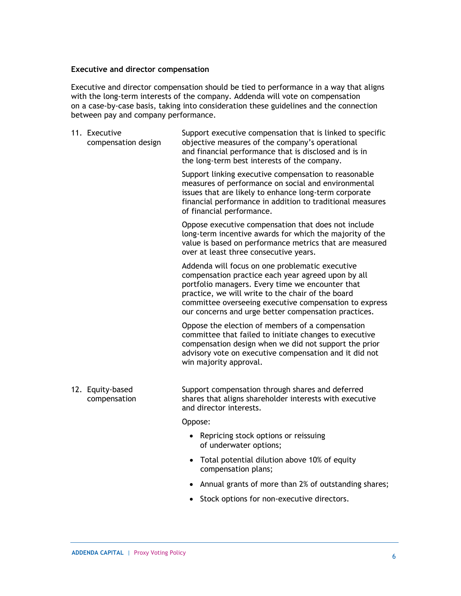#### **Executive and director compensation**

Executive and director compensation should be tied to performance in a way that aligns with the long-term interests of the company. Addenda will vote on compensation on a case-by-case basis, taking into consideration these guidelines and the connection between pay and company performance.

| 11. Executive<br>compensation design | Support executive compensation that is linked to specific<br>objective measures of the company's operational<br>and financial performance that is disclosed and is in<br>the long-term best interests of the company.                                                                                                            |
|--------------------------------------|----------------------------------------------------------------------------------------------------------------------------------------------------------------------------------------------------------------------------------------------------------------------------------------------------------------------------------|
|                                      | Support linking executive compensation to reasonable<br>measures of performance on social and environmental<br>issues that are likely to enhance long-term corporate<br>financial performance in addition to traditional measures<br>of financial performance.                                                                   |
|                                      | Oppose executive compensation that does not include<br>long-term incentive awards for which the majority of the<br>value is based on performance metrics that are measured<br>over at least three consecutive years.                                                                                                             |
|                                      | Addenda will focus on one problematic executive<br>compensation practice each year agreed upon by all<br>portfolio managers. Every time we encounter that<br>practice, we will write to the chair of the board<br>committee overseeing executive compensation to express<br>our concerns and urge better compensation practices. |
|                                      | Oppose the election of members of a compensation<br>committee that failed to initiate changes to executive<br>compensation design when we did not support the prior<br>advisory vote on executive compensation and it did not<br>win majority approval.                                                                          |
| 12. Equity-based<br>compensation     | Support compensation through shares and deferred<br>shares that aligns shareholder interests with executive<br>and director interests.                                                                                                                                                                                           |
|                                      | Oppose:                                                                                                                                                                                                                                                                                                                          |

- Repricing stock options or reissuing of underwater options;
- Total potential dilution above 10% of equity compensation plans;
- Annual grants of more than 2% of outstanding shares;
- Stock options for non-executive directors.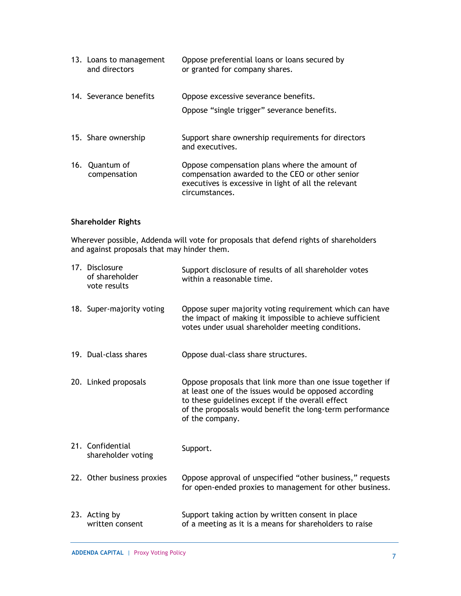| 13. Loans to management<br>and directors | Oppose preferential loans or loans secured by<br>or granted for company shares.                                                                                            |
|------------------------------------------|----------------------------------------------------------------------------------------------------------------------------------------------------------------------------|
| 14. Severance benefits                   | Oppose excessive severance benefits.                                                                                                                                       |
|                                          | Oppose "single trigger" severance benefits.                                                                                                                                |
| 15. Share ownership                      | Support share ownership requirements for directors<br>and executives.                                                                                                      |
| 16. Quantum of<br>compensation           | Oppose compensation plans where the amount of<br>compensation awarded to the CEO or other senior<br>executives is excessive in light of all the relevant<br>circumstances. |

### **Shareholder Rights**

Wherever possible, Addenda will vote for proposals that defend rights of shareholders and against proposals that may hinder them.

| 17. Disclosure<br>of shareholder<br>vote results | Support disclosure of results of all shareholder votes<br>within a reasonable time.                                                                                                                                                                    |
|--------------------------------------------------|--------------------------------------------------------------------------------------------------------------------------------------------------------------------------------------------------------------------------------------------------------|
| 18. Super-majority voting                        | Oppose super majority voting requirement which can have<br>the impact of making it impossible to achieve sufficient<br>votes under usual shareholder meeting conditions.                                                                               |
| 19. Dual-class shares                            | Oppose dual-class share structures.                                                                                                                                                                                                                    |
| 20. Linked proposals                             | Oppose proposals that link more than one issue together if<br>at least one of the issues would be opposed according<br>to these guidelines except if the overall effect<br>of the proposals would benefit the long-term performance<br>of the company. |
| 21. Confidential<br>shareholder voting           | Support.                                                                                                                                                                                                                                               |
| 22. Other business proxies                       | Oppose approval of unspecified "other business," requests<br>for open-ended proxies to management for other business.                                                                                                                                  |
| 23. Acting by<br>written consent                 | Support taking action by written consent in place<br>of a meeting as it is a means for shareholders to raise                                                                                                                                           |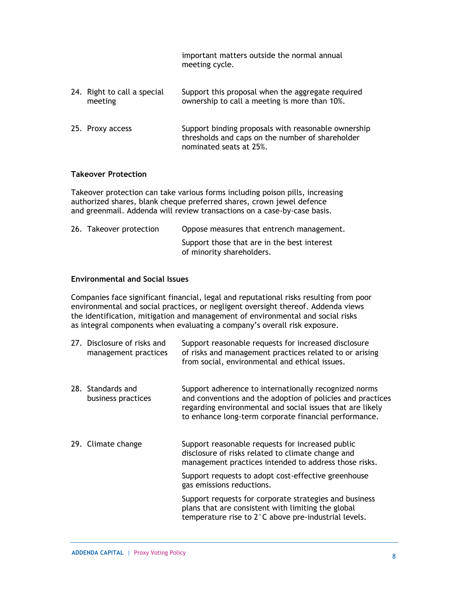important matters outside the normal annual meeting cycle.

| 24. Right to call a special<br>meeting | Support this proposal when the aggregate required<br>ownership to call a meeting is more than 10%.                                 |
|----------------------------------------|------------------------------------------------------------------------------------------------------------------------------------|
| 25. Proxy access                       | Support binding proposals with reasonable ownership<br>thresholds and caps on the number of shareholder<br>nominated seats at 25%. |

#### **Takeover Protection**

Takeover protection can take various forms including poison pills, increasing authorized shares, blank cheque preferred shares, crown jewel defence and greenmail. Addenda will review transactions on a case-by-case basis.

| 26. Takeover protection | Oppose measures that entrench management.                                |
|-------------------------|--------------------------------------------------------------------------|
|                         | Support those that are in the best interest<br>of minority shareholders. |

#### **Environmental and Social Issues**

Companies face significant financial, legal and reputational risks resulting from poor environmental and social practices, or negligent oversight thereof. Addenda views the identification, mitigation and management of environmental and social risks as integral components when evaluating a company's overall risk exposure.

| 27. Disclosure of risks and<br>management practices | Support reasonable requests for increased disclosure<br>of risks and management practices related to or arising |
|-----------------------------------------------------|-----------------------------------------------------------------------------------------------------------------|
|                                                     | from social, environmental and ethical issues.                                                                  |

- 28. Standards and business practices Support adherence to internationally recognized norms and conventions and the adoption of policies and practices regarding environmental and social issues that are likely to enhance long-term corporate financial performance.
- 29. Climate change Support reasonable requests for increased public disclosure of risks related to climate change and management practices intended to address those risks. Support requests to adopt cost-effective greenhouse gas emissions reductions.

Support requests for corporate strategies and business plans that are consistent with limiting the global temperature rise to 2°C above pre-industrial levels.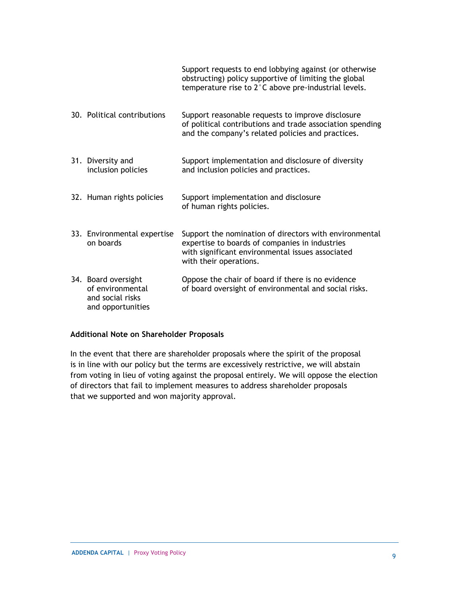|                                                                                  | Support requests to end lobbying against (or otherwise<br>obstructing) policy supportive of limiting the global<br>temperature rise to 2°C above pre-industrial levels.                |
|----------------------------------------------------------------------------------|----------------------------------------------------------------------------------------------------------------------------------------------------------------------------------------|
| 30. Political contributions                                                      | Support reasonable requests to improve disclosure<br>of political contributions and trade association spending<br>and the company's related policies and practices.                    |
| 31. Diversity and<br>inclusion policies                                          | Support implementation and disclosure of diversity<br>and inclusion policies and practices.                                                                                            |
| 32. Human rights policies                                                        | Support implementation and disclosure<br>of human rights policies.                                                                                                                     |
| 33. Environmental expertise<br>on boards                                         | Support the nomination of directors with environmental<br>expertise to boards of companies in industries<br>with significant environmental issues associated<br>with their operations. |
| 34. Board oversight<br>of environmental<br>and social risks<br>and opportunities | Oppose the chair of board if there is no evidence<br>of board oversight of environmental and social risks.                                                                             |

#### **Additional Note on Shareholder Proposals**

In the event that there are shareholder proposals where the spirit of the proposal is in line with our policy but the terms are excessively restrictive, we will abstain from voting in lieu of voting against the proposal entirely. We will oppose the election of directors that fail to implement measures to address shareholder proposals that we supported and won majority approval.